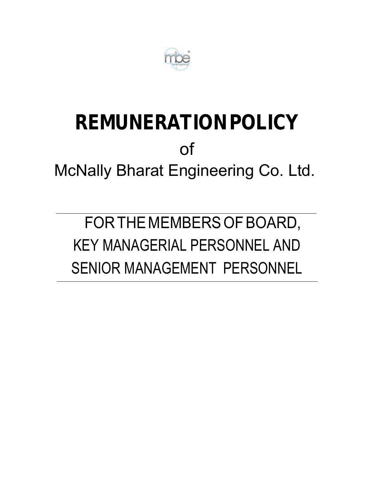

# **REMUNERATION POLICY**  of McNally Bharat Engineering Co. Ltd.

FOR THE MEMBERS OF BOARD, KEY MANAGERIAL PERSONNEL AND SENIOR MANAGEMENT PERSONNEL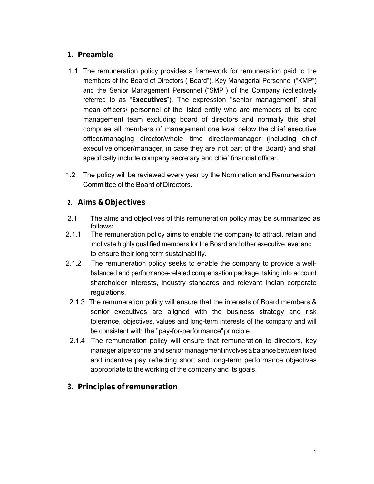# **1. Preamble**

- 1.1 The remuneration policy provides a framework for remuneration paid to the members of the Board of Directors ("Board"), Key Managerial Personnel ("KMP") and the Senior Management Personnel ("SMP") of the Company (collectively referred to as "**Executives**"). The expression ''senior management'' shall mean officers/ personnel of the listed entity who are members of its core management team excluding board of directors and normally this shall comprise all members of management one level below the chief executive officer/managing director/whole time director/manager (including chief executive officer/manager, in case they are not part of the Board) and shall specifically include company secretary and chief financial officer.
- 1.2 The policy will be reviewed every year by the Nomination and Remuneration Committee of the Board of Directors.

## **2. Aims & Objectives**

- 2.1The aims and objectives of this remuneration policy may be summarized as follows:
- 2.1.1 The remuneration policy aims to enable the company to attract, retain and motivate highly qualified members for the Board and other executive level and to ensure their long term sustainability.
- 2.1.2 The remuneration policy seeks to enable the company to provide a wellbalanced and performance-related compensation package, taking into account shareholder interests, industry standards and relevant Indian corporate regulations.
- 2.1.3 The remuneration policy will ensure that the interests of Board members & senior executives are aligned with the business strategy and risk tolerance, objectives, values and long-term interests of the company and will be consistent with the "pay-for-performance" principle.
- 2.1.4 The remuneration policy will ensure that remuneration to directors, key managerial personnel and senior management involves a balance between fixed and incentive pay reflecting short and long-term performance objectives appropriate to the working of the company and its goals.
- **3. Principles of remuneration**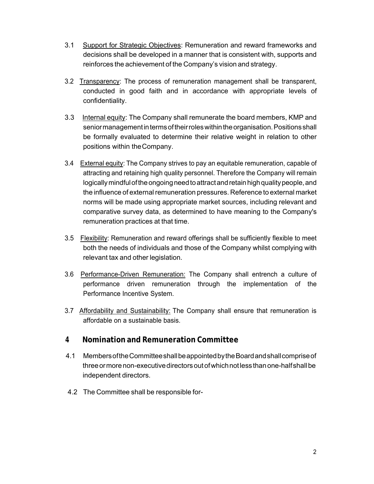- 3.1 Support for Strategic Objectives: Remuneration and reward frameworks and decisions shall be developed in a manner that is consistent with, supports and reinforces the achievement of the Company's vision and strategy.
- 3.2 Transparency: The process of remuneration management shall be transparent, conducted in good faith and in accordance with appropriate levels of confidentiality.
- 3.3 Internal equity: The Company shall remunerate the board members, KMP and senior management in terms of their roles within the organisation. Positions shall be formally evaluated to determine their relative weight in relation to other positions within the Company.
- 3.4 External equity: The Company strives to pay an equitable remuneration, capable of attracting and retaining high quality personnel. Therefore the Company will remain logically mindful of the ongoing need to attract and retain high quality people, and the influence of external remuneration pressures. Reference to external market norms will be made using appropriate market sources, including relevant and comparative survey data, as determined to have meaning to the Company's remuneration practices at that time.
- 3.5 Flexibility: Remuneration and reward offerings shall be sufficiently flexible to meet both the needs of individuals and those of the Company whilst complying with relevant tax and other legislation.
- 3.6 Performance-Driven Remuneration: The Company shall entrench a culture of performance driven remuneration through the implementation of the Performance Incentive System.
- 3.7 Affordability and Sustainability: The Company shall ensure that remuneration is affordable on a sustainable basis.

## **4 Nomination and Remuneration Committee**

- 4.1 Members of the Committee shall be appointed by the Board and shall comprise of three or more non-executive directors out of which not less than one-half shall be independent directors.
- 4.2 The Committee shall be responsible for-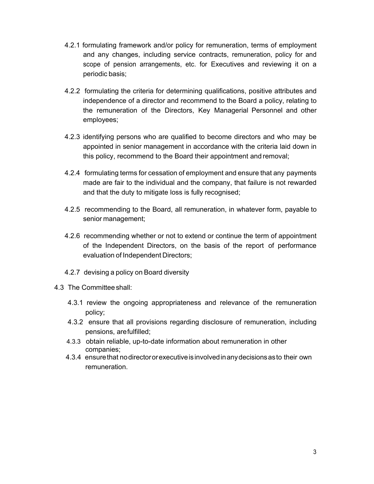- 4.2.1 formulating framework and/or policy for remuneration, terms of employment and any changes, including service contracts, remuneration, policy for and scope of pension arrangements, etc. for Executives and reviewing it on a periodic basis;
- 4.2.2 formulating the criteria for determining qualifications, positive attributes and independence of a director and recommend to the Board a policy, relating to the remuneration of the Directors, Key Managerial Personnel and other employees;
- 4.2.3 identifying persons who are qualified to become directors and who may be appointed in senior management in accordance with the criteria laid down in this policy, recommend to the Board their appointment and removal;
- 4.2.4 formulating terms for cessation of employment and ensure that any payments made are fair to the individual and the company, that failure is not rewarded and that the duty to mitigate loss is fully recognised;
- 4.2.5 recommending to the Board, all remuneration, in whatever form, payable to senior management;
- 4.2.6 recommending whether or not to extend or continue the term of appointment of the Independent Directors, on the basis of the report of performance evaluation of Independent Directors;
- 4.2.7 devising a policy on Board diversity
- 4.3 The Committee shall:
	- 4.3.1 review the ongoing appropriateness and relevance of the remuneration policy;
	- 4.3.2 ensure that all provisions regarding disclosure of remuneration, including pensions, are fulfilled;
	- 4.3.3 obtain reliable, up-to-date information about remuneration in other companies;
	- 4.3.4 ensure that no director or executive is involved in any decisions as to their own remuneration.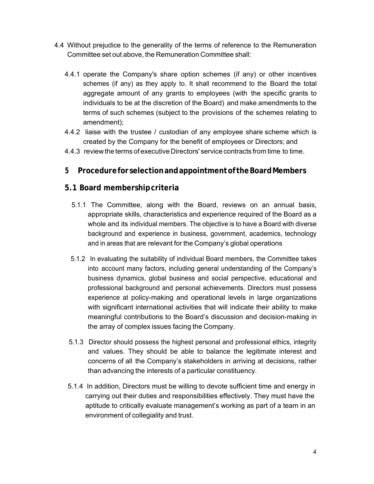- 4.4 Without prejudice to the generality of the terms of reference to the Remuneration Committee set out above, the Remuneration Committee shall:
	- 4.4.1 operate the Company's share option schemes (if any) or other incentives schemes (if any) as they apply to. It shall recommend to the Board the total aggregate amount of any grants to employees (with the specific grants to individuals to be at the discretion of the Board) and make amendments to the terms of such schemes (subject to the provisions of the schemes relating to amendment);
	- 4.4.2 liaise with the trustee / custodian of any employee share scheme which is created by the Company for the benefit of employees or Directors; and
	- 4.4.3 review the terms of executive Directors' service contracts from time to time.

# **5 Procedure for selection and appointment of the Board Members**

## **5.1 Board membership criteria**

- 5.1.1 The Committee, along with the Board, reviews on an annual basis, appropriate skills, characteristics and experience required of the Board as a whole and its individual members. The objective is to have a Board with diverse background and experience in business, government, academics, technology and in areas that are relevant for the Company's global operations
- 5.1.2 In evaluating the suitability of individual Board members, the Committee takes into account many factors, including general understanding of the Company's business dynamics, global business and social perspective, educational and professional background and personal achievements. Directors must possess experience at policy-making and operational levels in large organizations with significant international activities that will indicate their ability to make meaningful contributions to the Board's discussion and decision-making in the array of complex issues facing the Company.
- 5.1.3 Director should possess the highest personal and professional ethics, integrity and values. They should be able to balance the legitimate interest and concerns of all the Company's stakeholders in arriving at decisions, rather than advancing the interests of a particular constituency.
- 5.1.4 In addition, Directors must be willing to devote sufficient time and energy in carrying out their duties and responsibilities effectively. They must have the aptitude to critically evaluate management's working as part of a team in an environment of collegiality and trust.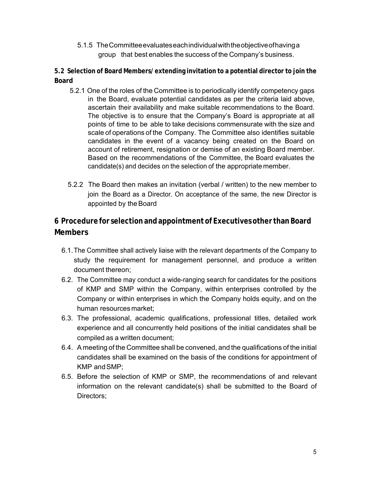5.1.5 The Committee evaluates each individual with the objective of having a group that best enables the success of the Company's business.

**5.2 Selection of Board Members/ extending invitation to a potential director to join the Board** 

- 5.2.1 One of the roles of the Committee is to periodically identify competency gaps in the Board, evaluate potential candidates as per the criteria laid above, ascertain their availability and make suitable recommendations to the Board. The objective is to ensure that the Company's Board is appropriate at all points of time to be able to take decisions commensurate with the size and scale of operations of the Company. The Committee also identifies suitable candidates in the event of a vacancy being created on the Board on account of retirement, resignation or demise of an existing Board member. Based on the recommendations of the Committee, the Board evaluates the candidate(s) and decides on the selection of the appropriate member.
- 5.2.2 The Board then makes an invitation (verbal / written) to the new member to join the Board as a Director. On acceptance of the same, the new Director is appointed by the Board

# **6 Procedure for selection and appointment of Executives other than Board Members**

- 6.1. The Committee shall actively liaise with the relevant departments of the Company to study the requirement for management personnel, and produce a written document thereon;
- 6.2. The Committee may conduct a wide-ranging search for candidates for the positions of KMP and SMP within the Company, within enterprises controlled by the Company or within enterprises in which the Company holds equity, and on the human resources market;
- 6.3. The professional, academic qualifications, professional titles, detailed work experience and all concurrently held positions of the initial candidates shall be compiled as a written document;
- 6.4. A meeting of the Committee shall be convened, and the qualifications of the initial candidates shall be examined on the basis of the conditions for appointment of KMP and SMP;
- 6.5. Before the selection of KMP or SMP, the recommendations of and relevant information on the relevant candidate(s) shall be submitted to the Board of Directors;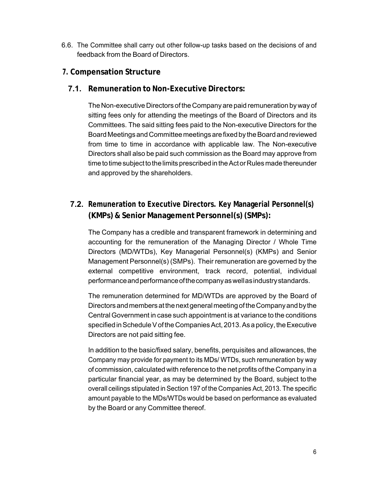- 6.6. The Committee shall carry out other follow-up tasks based on the decisions of and feedback from the Board of Directors.
- **7. Compensation Structure** 
	- **7.1. Remuneration to Non-Executive Directors:**

The Non-executive Directors of the Company are paid remuneration by way of sitting fees only for attending the meetings of the Board of Directors and its Committees. The said sitting fees paid to the Non-executive Directors for the Board Meetings and Committee meetings are fixed by the Board and reviewed from time to time in accordance with applicable law. The Non-executive Directors shall also be paid such commission as the Board may approve from time to time subject to the limits prescribed in the Act or Rules made thereunder and approved by the shareholders.

**7.2. Remuneration to Executive Directors. Key Managerial Personnel(s) (KMPs) & Senior Management Personnel(s) (SMPs):**

The Company has a credible and transparent framework in determining and accounting for the remuneration of the Managing Director / Whole Time Directors (MD/WTDs), Key Managerial Personnel(s) (KMPs) and Senior Management Personnel(s) (SMPs). Their remuneration are governed by the external competitive environment, track record, potential, individual performance and performance of the company as well as industry standards.

The remuneration determined for MD/WTDs are approved by the Board of Directors and members at the next general meeting of the Company and by the Central Government in case such appointment is at variance to the conditions specified in Schedule V of the Companies Act, 2013. As a policy, the Executive Directors are not paid sitting fee.

In addition to the basic/fixed salary, benefits, perquisites and allowances, the Company may provide for payment to its MDs/ WTDs, such remuneration by way of commission, calculated with reference to the net profits of the Company in a particular financial year, as may be determined by the Board, subject to the overall ceilings stipulated in Section 197 of the Companies Act, 2013. The specific amount payable to the MDs/WTDs would be based on performance as evaluated by the Board or any Committee thereof.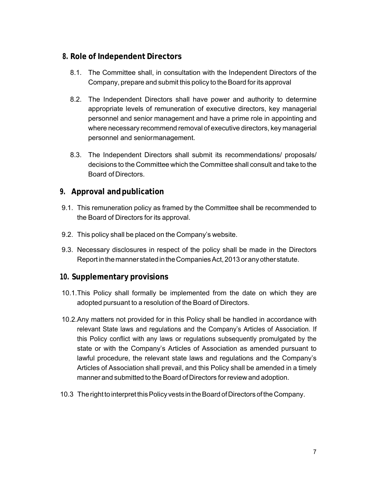## **8. Role of Independent Directors**

- 8.1. The Committee shall, in consultation with the Independent Directors of the Company, prepare and submit this policy to the Board for its approval
- 8.2. The Independent Directors shall have power and authority to determine appropriate levels of remuneration of executive directors, key managerial personnel and senior management and have a prime role in appointing and where necessary recommend removal of executive directors, key managerial personnel and senior management.
- 8.3. The Independent Directors shall submit its recommendations/ proposals/ decisions to the Committee which the Committee shall consult and take to the Board of Directors.

## **9. Approval and publication**

- 9.1. This remuneration policy as framed by the Committee shall be recommended to the Board of Directors for its approval.
- 9.2. This policy shall be placed on the Company's website.
- 9.3. Necessary disclosures in respect of the policy shall be made in the Directors Report in the manner stated in the Companies Act, 2013 or any other statute.

## **10. Supplementary provisions**

- 10.1. This Policy shall formally be implemented from the date on which they are adopted pursuant to a resolution of the Board of Directors.
- 10.2. Any matters not provided for in this Policy shall be handled in accordance with relevant State laws and regulations and the Company's Articles of Association. If this Policy conflict with any laws or regulations subsequently promulgated by the state or with the Company's Articles of Association as amended pursuant to lawful procedure, the relevant state laws and regulations and the Company's Articles of Association shall prevail, and this Policy shall be amended in a timely manner and submitted to the Board of Directors for review and adoption.
- 10.3 The right to interpret this Policy vests in the Board of Directors of the Company.